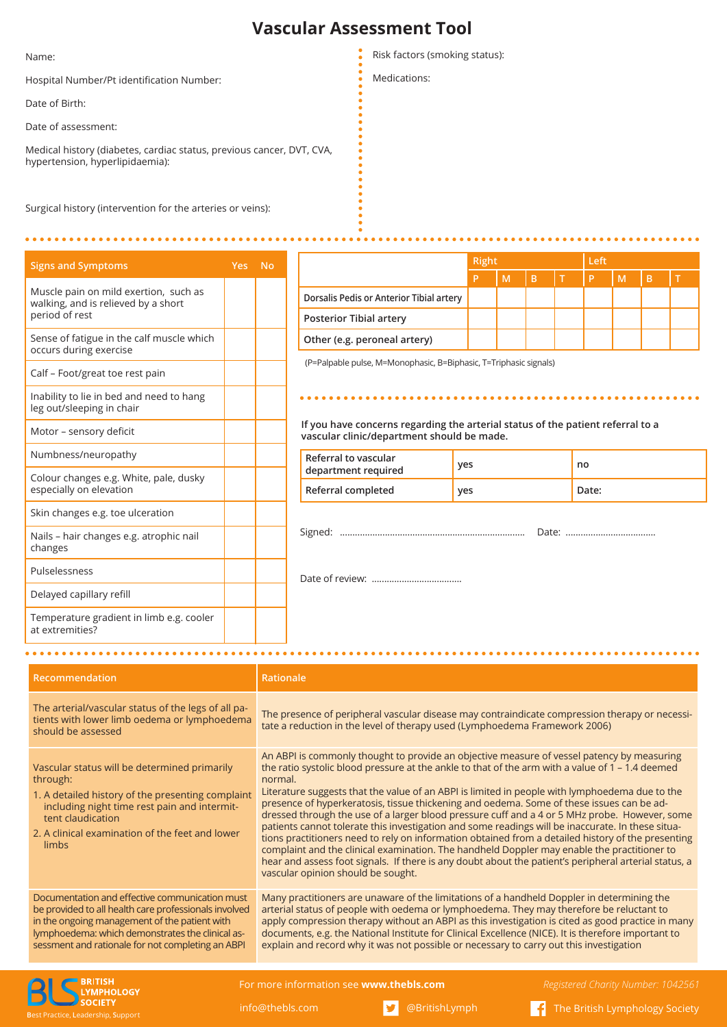## **Vascular Assessment Tool**

Name:

Hospital Number/Pt identification Number:

Date of Birth:

Date of assessment:

Medical history (diabetes, cardiac status, previous cancer, DVT, CVA, hypertension, hyperlipidaemia):

Surgical history (intervention for the arteries or veins):

| <b>Signs and Symptoms</b>                                                    | Yes No |  |
|------------------------------------------------------------------------------|--------|--|
| Muscle pain on mild exertion, such as<br>walking, and is relieved by a short |        |  |
| period of rest                                                               |        |  |
| Sense of fatigue in the calf muscle which<br>occurs during exercise          |        |  |
| Calf - Foot/great toe rest pain                                              |        |  |
| Inability to lie in bed and need to hang<br>leg out/sleeping in chair        |        |  |
| Motor - sensory deficit                                                      |        |  |
| Numbness/neuropathy                                                          |        |  |
| Colour changes e.g. White, pale, dusky<br>especially on elevation            |        |  |
| Skin changes e.g. toe ulceration                                             |        |  |
| Nails – hair changes e.g. atrophic nail<br>changes                           |        |  |
| Pulselessness                                                                |        |  |
| Delayed capillary refill                                                     |        |  |
| Temperature gradient in limb e.g. cooler<br>at extremities?                  |        |  |
|                                                                              |        |  |

Risk factors (smoking status):

Medications:

|                                          | Right |   |      | Left |   |   |    |  |
|------------------------------------------|-------|---|------|------|---|---|----|--|
|                                          | P     | M | l Bl |      | P | M | B. |  |
| Dorsalis Pedis or Anterior Tibial artery |       |   |      |      |   |   |    |  |
| <b>Posterior Tibial artery</b>           |       |   |      |      |   |   |    |  |
| Other (e.g. peroneal artery)             |       |   |      |      |   |   |    |  |

e pulse, M=Monophasic, B=Biphasic, T=Triphasic signals)

## **If you concerns regarding the arterial status of the patient referral to a vascular clinic/department should be made.**

...................................

| Referral to vascular<br>department required | yes | no    |
|---------------------------------------------|-----|-------|
| Referral completed                          | yes | Date: |
|                                             |     |       |
|                                             |     |       |
|                                             |     |       |
|                                             |     |       |

**Recommendation Rationale** The arterial/vascular status of the legs of all patients with lower limb oedema or lymphoedema should be assessed The presence of peripheral vascular disease may contraindicate compression therapy or necessitate a reduction in the level of therapy used (Lymphoedema Framework 2006) Vascular status will be determined primarily through: 1. A detailed history of the presenting complaint including night time rest pain and intermittent claudication 2. A clinical examination of the feet and lower limbs An ABPI is commonly thought to provide an objective measure of vessel patency by measuring the ratio systolic blood pressure at the ankle to that of the arm with a value of 1 – 1.4 deemed normal. Literature suggests that the value of an ABPI is limited in people with lymphoedema due to the presence of hyperkeratosis, tissue thickening and oedema. Some of these issues can be addressed through the use of a larger blood pressure cuff and a 4 or 5 MHz probe. However, some patients cannot tolerate this investigation and some readings will be inaccurate. In these situations practitioners need to rely on information obtained from a detailed history of the presenting complaint and the clinical examination. The handheld Doppler may enable the practitioner to hear and assess foot signals. If there is any doubt about the patient's peripheral arterial status, a vascular opinion should be sought. Documentation and effective communication must be provided to all health care professionals involved in the ongoing management of the patient with lymphoedema: which demonstrates the clinical assessment and rationale for not completing an ABPI Many practitioners are unaware of the limitations of a handheld Doppler in determining the arterial status of people with oedema or lymphoedema. They may therefore be reluctant to apply compression therapy without an ABPI as this investigation is cited as good practice in many documents, e.g. the National Institute for Clinical Excellence (NICE). It is therefore important to explain and record why it was not possible or necessary to carry out this investigation